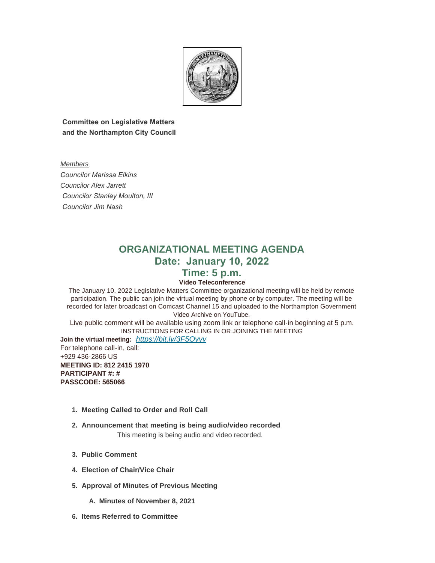

 **Committee on Legislative Matters and the Northampton City Council**

*Members Councilor Marissa Elkins Councilor Alex Jarrett Councilor Stanley Moulton, III Councilor Jim Nash* 

# **ORGANIZATIONAL MEETING AGENDA Date: January 10, 2022**

## **Time: 5 p.m.**

### **Video Teleconference**

The January 10, 2022 Legislative Matters Committee organizational meeting will be held by remote participation. The public can join the virtual meeting by phone or by computer. The meeting will be recorded for later broadcast on Comcast Channel 15 and uploaded to the Northampton Government Video Archive on YouTube.

Live public comment will be available using zoom link or telephone call-in beginning at 5 p.m. INSTRUCTIONS FOR CALLING IN OR JOINING THE MEETING

**Join the virtual meeting:** *<https://bit.ly/3F5Ovyy>* For telephone call-in, call: +929 436-2866 US **MEETING ID: 812 2415 1970 PARTICIPANT #: # PASSCODE: 565066**

- **Meeting Called to Order and Roll Call 1.**
- **Announcement that meeting is being audio/video recorded 2.** This meeting is being audio and video recorded.
- **Public Comment 3.**
- **Election of Chair/Vice Chair 4.**
- **Approval of Minutes of Previous Meeting 5.**
	- **Minutes of November 8, 2021 A.**
- **Items Referred to Committee 6.**